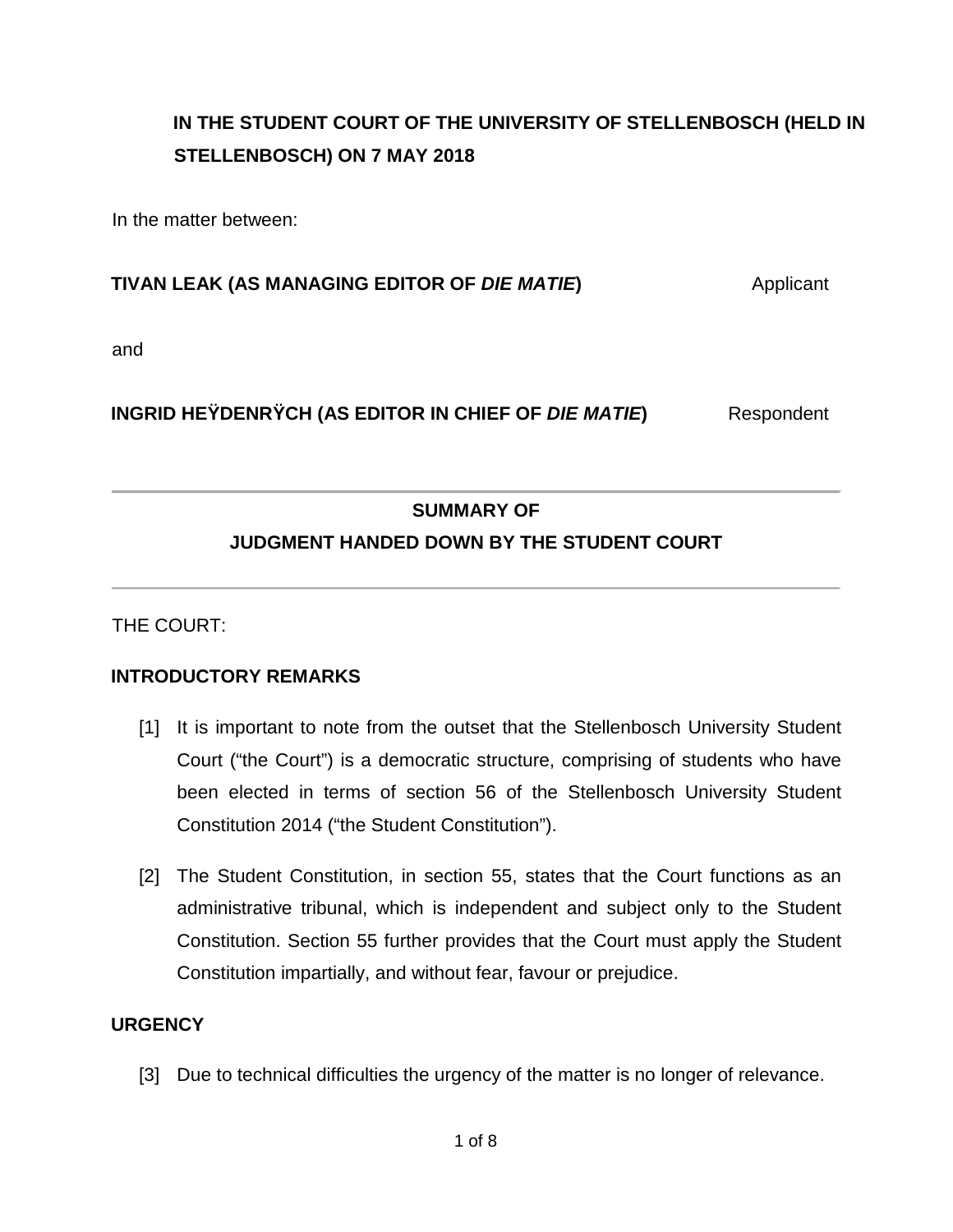# **IN THE STUDENT COURT OF THE UNIVERSITY OF STELLENBOSCH (HELD IN STELLENBOSCH) ON 7 MAY 2018**

In the matter between:

### **TIVAN LEAK (AS MANAGING EDITOR OF** *DIE MATIE***)** Applicant

and

## **INGRID HEŸDENRŸCH (AS EDITOR IN CHIEF OF** *DIE MATIE***) Respondent**

### **SUMMARY OF**

## **JUDGMENT HANDED DOWN BY THE STUDENT COURT**

THE COURT:

### **INTRODUCTORY REMARKS**

- [1] It is important to note from the outset that the Stellenbosch University Student Court ("the Court") is a democratic structure, comprising of students who have been elected in terms of section 56 of the Stellenbosch University Student Constitution 2014 ("the Student Constitution").
- [2] The Student Constitution, in section 55, states that the Court functions as an administrative tribunal, which is independent and subject only to the Student Constitution. Section 55 further provides that the Court must apply the Student Constitution impartially, and without fear, favour or prejudice.

#### **URGENCY**

[3] Due to technical difficulties the urgency of the matter is no longer of relevance.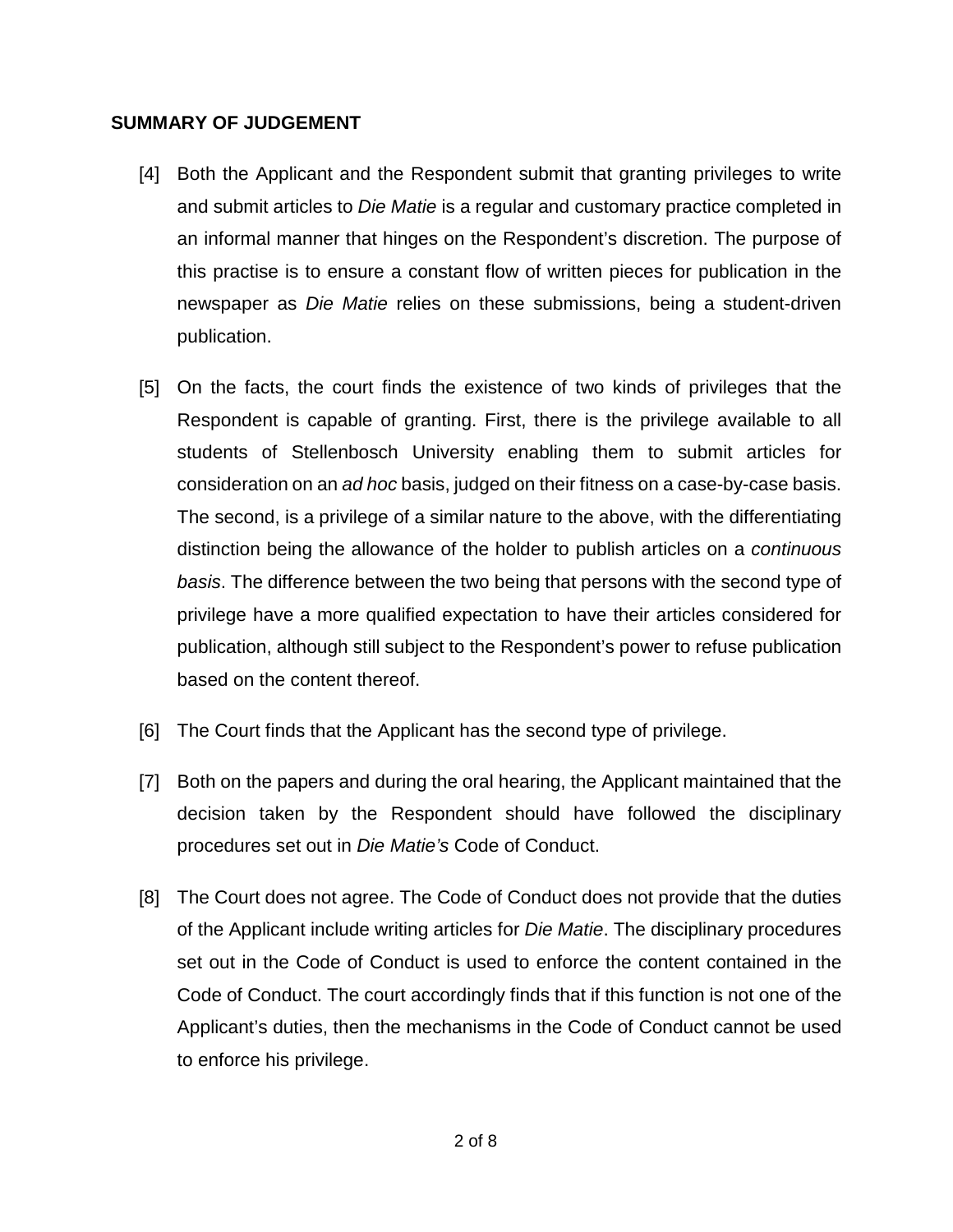#### **SUMMARY OF JUDGEMENT**

- [4] Both the Applicant and the Respondent submit that granting privileges to write and submit articles to *Die Matie* is a regular and customary practice completed in an informal manner that hinges on the Respondent's discretion. The purpose of this practise is to ensure a constant flow of written pieces for publication in the newspaper as *Die Matie* relies on these submissions, being a student-driven publication.
- [5] On the facts, the court finds the existence of two kinds of privileges that the Respondent is capable of granting. First, there is the privilege available to all students of Stellenbosch University enabling them to submit articles for consideration on an *ad hoc* basis, judged on their fitness on a case-by-case basis. The second, is a privilege of a similar nature to the above, with the differentiating distinction being the allowance of the holder to publish articles on a *continuous basis*. The difference between the two being that persons with the second type of privilege have a more qualified expectation to have their articles considered for publication, although still subject to the Respondent's power to refuse publication based on the content thereof.
- [6] The Court finds that the Applicant has the second type of privilege.
- [7] Both on the papers and during the oral hearing, the Applicant maintained that the decision taken by the Respondent should have followed the disciplinary procedures set out in *Die Matie's* Code of Conduct.
- [8] The Court does not agree. The Code of Conduct does not provide that the duties of the Applicant include writing articles for *Die Matie*. The disciplinary procedures set out in the Code of Conduct is used to enforce the content contained in the Code of Conduct. The court accordingly finds that if this function is not one of the Applicant's duties, then the mechanisms in the Code of Conduct cannot be used to enforce his privilege.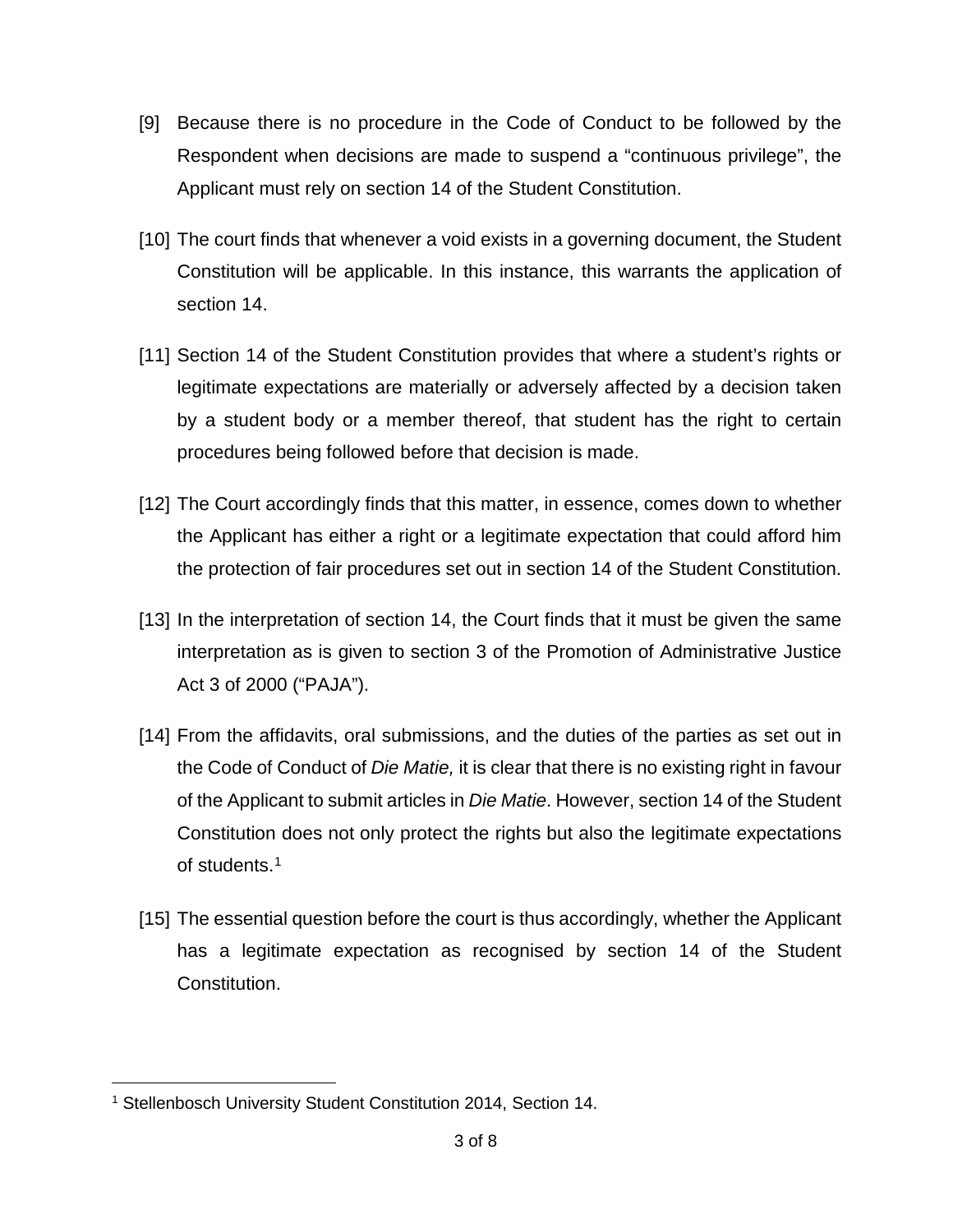- [9] Because there is no procedure in the Code of Conduct to be followed by the Respondent when decisions are made to suspend a "continuous privilege", the Applicant must rely on section 14 of the Student Constitution.
- [10] The court finds that whenever a void exists in a governing document, the Student Constitution will be applicable. In this instance, this warrants the application of section 14.
- [11] Section 14 of the Student Constitution provides that where a student's rights or legitimate expectations are materially or adversely affected by a decision taken by a student body or a member thereof, that student has the right to certain procedures being followed before that decision is made.
- [12] The Court accordingly finds that this matter, in essence, comes down to whether the Applicant has either a right or a legitimate expectation that could afford him the protection of fair procedures set out in section 14 of the Student Constitution.
- [13] In the interpretation of section 14, the Court finds that it must be given the same interpretation as is given to section 3 of the Promotion of Administrative Justice Act 3 of 2000 ("PAJA").
- [14] From the affidavits, oral submissions, and the duties of the parties as set out in the Code of Conduct of *Die Matie,* it is clear that there is no existing right in favour of the Applicant to submit articles in *Die Matie*. However, section 14 of the Student Constitution does not only protect the rights but also the legitimate expectations of students[.1](#page-2-0)
- [15] The essential question before the court is thus accordingly, whether the Applicant has a legitimate expectation as recognised by section 14 of the Student Constitution.

<span id="page-2-0"></span><sup>&</sup>lt;sup>1</sup> Stellenbosch University Student Constitution 2014, Section 14.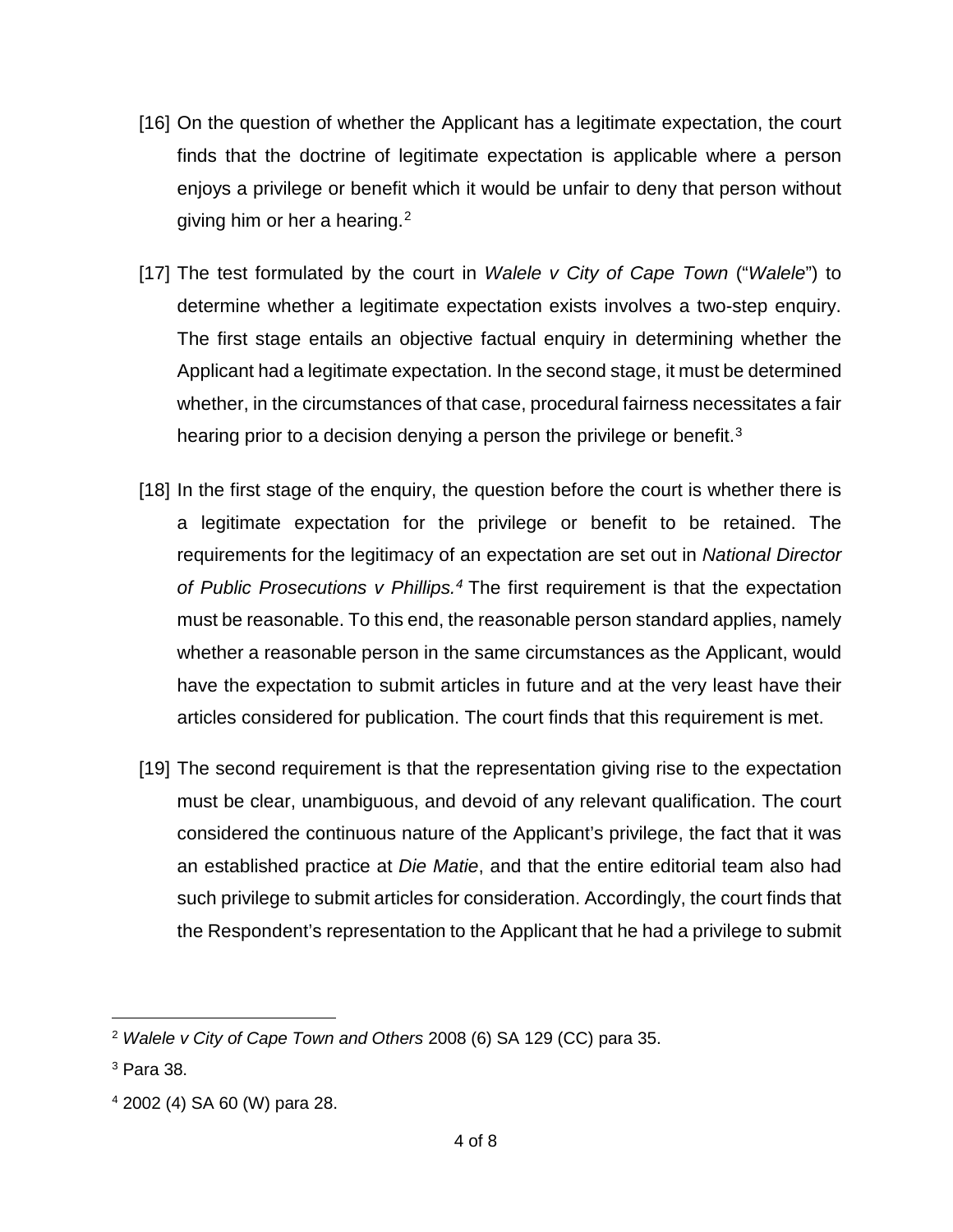- [16] On the question of whether the Applicant has a legitimate expectation, the court finds that the doctrine of legitimate expectation is applicable where a person enjoys a privilege or benefit which it would be unfair to deny that person without giving him or her a hearing.<sup>[2](#page-3-0)</sup>
- [17] The test formulated by the court in *Walele v City of Cape Town* ("*Walele*") to determine whether a legitimate expectation exists involves a two-step enquiry. The first stage entails an objective factual enquiry in determining whether the Applicant had a legitimate expectation. In the second stage, it must be determined whether, in the circumstances of that case, procedural fairness necessitates a fair hearing prior to a decision denying a person the privilege or benefit.<sup>[3](#page-3-1)</sup>
- [18] In the first stage of the enquiry, the question before the court is whether there is a legitimate expectation for the privilege or benefit to be retained. The requirements for the legitimacy of an expectation are set out in *National Director of Public Prosecutions v Phillips.[4](#page-3-2)* The first requirement is that the expectation must be reasonable. To this end, the reasonable person standard applies, namely whether a reasonable person in the same circumstances as the Applicant, would have the expectation to submit articles in future and at the very least have their articles considered for publication. The court finds that this requirement is met.
- [19] The second requirement is that the representation giving rise to the expectation must be clear, unambiguous, and devoid of any relevant qualification. The court considered the continuous nature of the Applicant's privilege, the fact that it was an established practice at *Die Matie*, and that the entire editorial team also had such privilege to submit articles for consideration. Accordingly, the court finds that the Respondent's representation to the Applicant that he had a privilege to submit

<span id="page-3-0"></span> <sup>2</sup> *Walele v City of Cape Town and Others* 2008 (6) SA 129 (CC) para 35.

<span id="page-3-1"></span><sup>3</sup> Para 38.

<span id="page-3-2"></span><sup>4</sup> 2002 (4) SA 60 (W) para 28.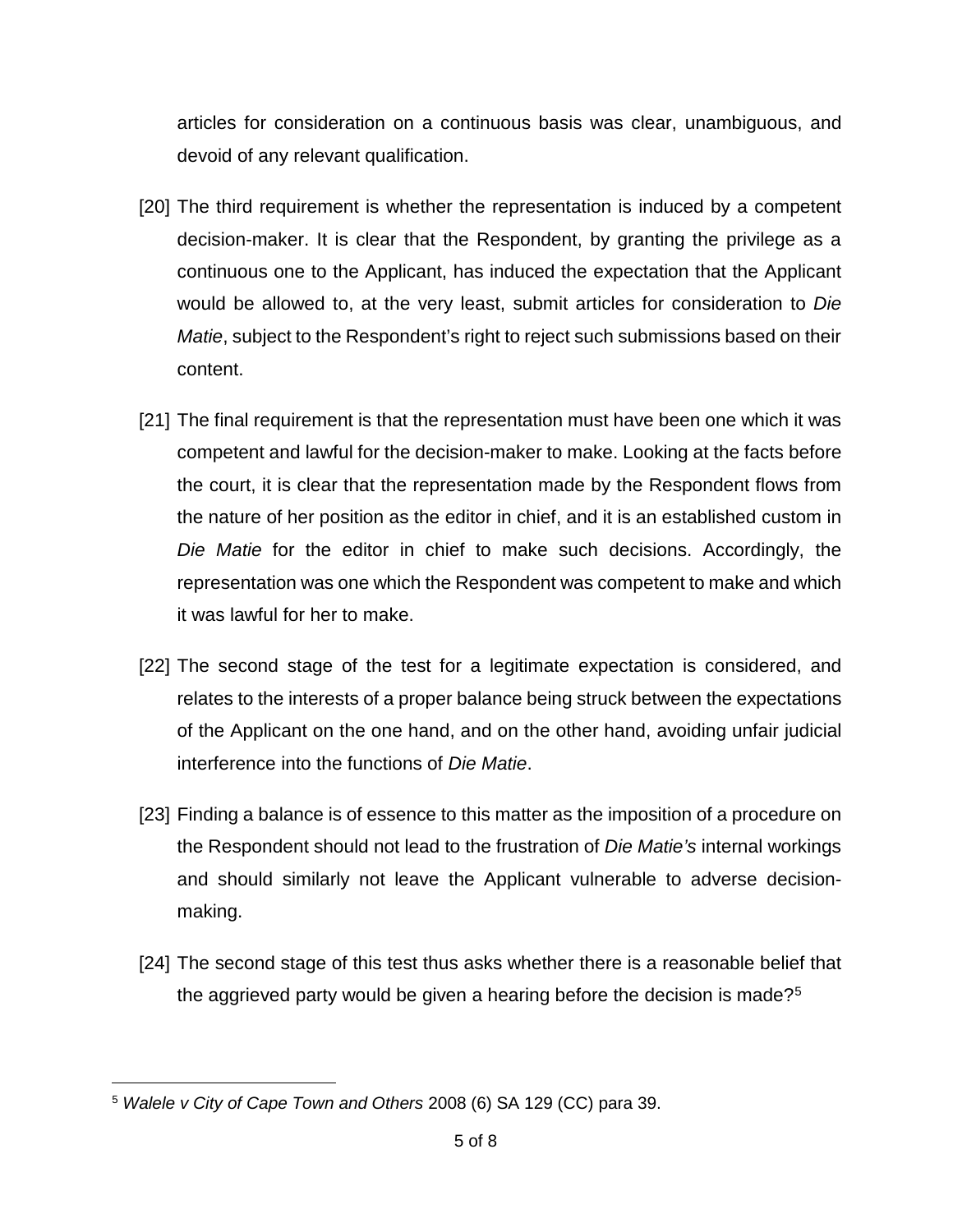articles for consideration on a continuous basis was clear, unambiguous, and devoid of any relevant qualification.

- [20] The third requirement is whether the representation is induced by a competent decision-maker. It is clear that the Respondent, by granting the privilege as a continuous one to the Applicant, has induced the expectation that the Applicant would be allowed to, at the very least, submit articles for consideration to *Die Matie*, subject to the Respondent's right to reject such submissions based on their content.
- [21] The final requirement is that the representation must have been one which it was competent and lawful for the decision-maker to make. Looking at the facts before the court, it is clear that the representation made by the Respondent flows from the nature of her position as the editor in chief, and it is an established custom in *Die Matie* for the editor in chief to make such decisions. Accordingly, the representation was one which the Respondent was competent to make and which it was lawful for her to make.
- [22] The second stage of the test for a legitimate expectation is considered, and relates to the interests of a proper balance being struck between the expectations of the Applicant on the one hand, and on the other hand, avoiding unfair judicial interference into the functions of *Die Matie*.
- [23] Finding a balance is of essence to this matter as the imposition of a procedure on the Respondent should not lead to the frustration of *Die Matie's* internal workings and should similarly not leave the Applicant vulnerable to adverse decisionmaking.
- [24] The second stage of this test thus asks whether there is a reasonable belief that the aggrieved party would be given a hearing before the decision is made?<sup>[5](#page-4-0)</sup>

<span id="page-4-0"></span> <sup>5</sup> *Walele v City of Cape Town and Others* 2008 (6) SA 129 (CC) para 39.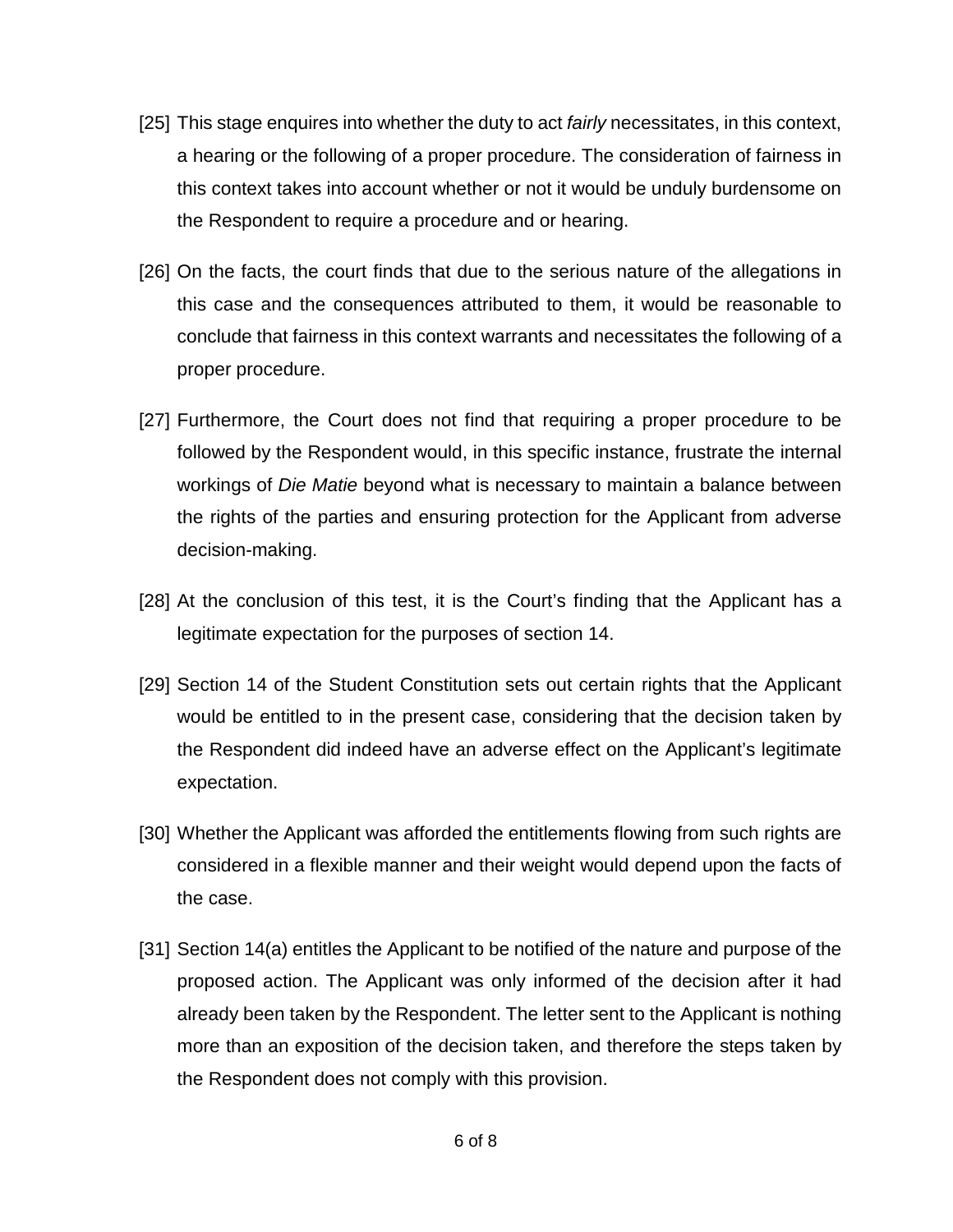- [25] This stage enquires into whether the duty to act *fairly* necessitates, in this context, a hearing or the following of a proper procedure. The consideration of fairness in this context takes into account whether or not it would be unduly burdensome on the Respondent to require a procedure and or hearing.
- [26] On the facts, the court finds that due to the serious nature of the allegations in this case and the consequences attributed to them, it would be reasonable to conclude that fairness in this context warrants and necessitates the following of a proper procedure.
- [27] Furthermore, the Court does not find that requiring a proper procedure to be followed by the Respondent would, in this specific instance, frustrate the internal workings of *Die Matie* beyond what is necessary to maintain a balance between the rights of the parties and ensuring protection for the Applicant from adverse decision-making.
- [28] At the conclusion of this test, it is the Court's finding that the Applicant has a legitimate expectation for the purposes of section 14.
- [29] Section 14 of the Student Constitution sets out certain rights that the Applicant would be entitled to in the present case, considering that the decision taken by the Respondent did indeed have an adverse effect on the Applicant's legitimate expectation.
- [30] Whether the Applicant was afforded the entitlements flowing from such rights are considered in a flexible manner and their weight would depend upon the facts of the case.
- [31] Section 14(a) entitles the Applicant to be notified of the nature and purpose of the proposed action. The Applicant was only informed of the decision after it had already been taken by the Respondent. The letter sent to the Applicant is nothing more than an exposition of the decision taken, and therefore the steps taken by the Respondent does not comply with this provision.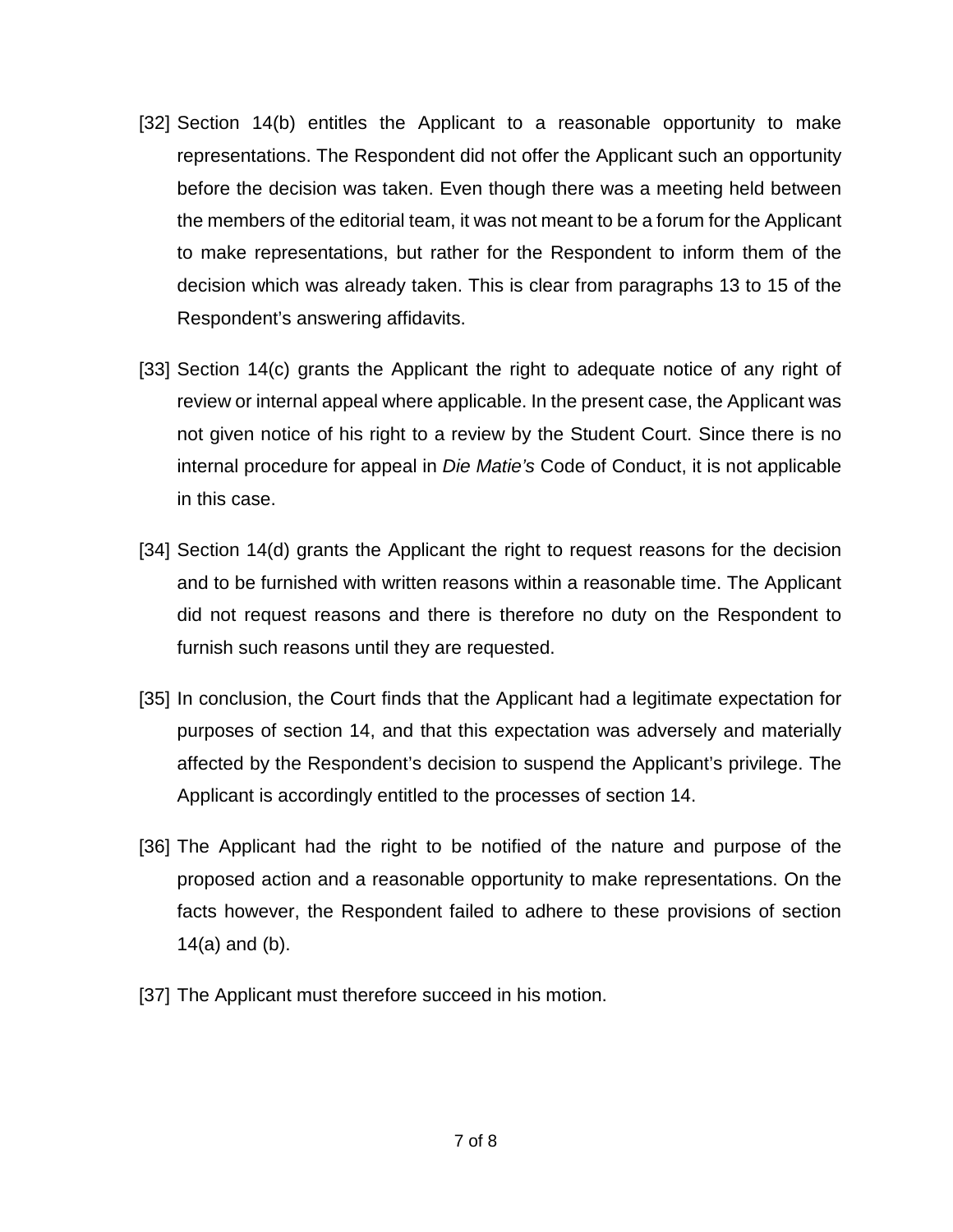- [32] Section 14(b) entitles the Applicant to a reasonable opportunity to make representations. The Respondent did not offer the Applicant such an opportunity before the decision was taken. Even though there was a meeting held between the members of the editorial team, it was not meant to be a forum for the Applicant to make representations, but rather for the Respondent to inform them of the decision which was already taken. This is clear from paragraphs 13 to 15 of the Respondent's answering affidavits.
- [33] Section 14(c) grants the Applicant the right to adequate notice of any right of review or internal appeal where applicable. In the present case, the Applicant was not given notice of his right to a review by the Student Court. Since there is no internal procedure for appeal in *Die Matie's* Code of Conduct, it is not applicable in this case.
- [34] Section 14(d) grants the Applicant the right to request reasons for the decision and to be furnished with written reasons within a reasonable time. The Applicant did not request reasons and there is therefore no duty on the Respondent to furnish such reasons until they are requested.
- [35] In conclusion, the Court finds that the Applicant had a legitimate expectation for purposes of section 14, and that this expectation was adversely and materially affected by the Respondent's decision to suspend the Applicant's privilege. The Applicant is accordingly entitled to the processes of section 14.
- [36] The Applicant had the right to be notified of the nature and purpose of the proposed action and a reasonable opportunity to make representations. On the facts however, the Respondent failed to adhere to these provisions of section 14(a) and (b).
- [37] The Applicant must therefore succeed in his motion.